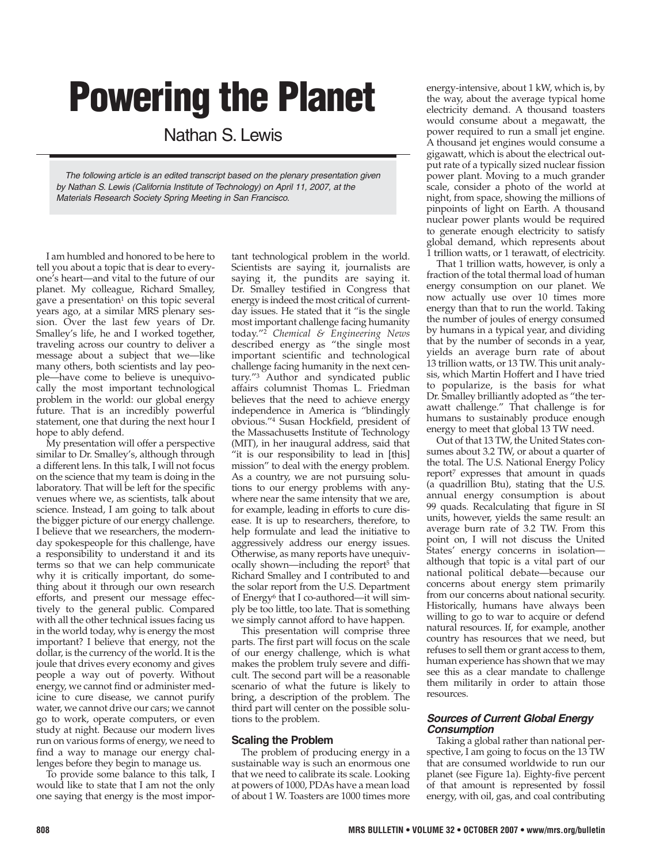# **Powering the Planet**

Nathan S. Lewis

The following article is an edited transcript based on the plenary presentation given by Nathan S. Lewis (California Institute of Technology) on April 11, 2007, at the Materials Research Society Spring Meeting in San Francisco.

I am humbled and honored to be here to tell you about a topic that is dear to everyone's heart—and vital to the future of our planet. My colleague, Richard Smalley, gave a presentation<sup>1</sup> on this topic several years ago, at a similar MRS plenary session. Over the last few years of Dr. Smalley's life, he and I worked together, traveling across our country to deliver a message about a subject that we—like many others, both scientists and lay people—have come to believe is unequivocally the most important technological problem in the world: our global energy future. That is an incredibly powerful statement, one that during the next hour I hope to ably defend.

My presentation will offer a perspective similar to Dr. Smalley's, although through a different lens. In this talk, I will not focus on the science that my team is doing in the laboratory. That will be left for the specific venues where we, as scientists, talk about science. Instead, I am going to talk about the bigger picture of our energy challenge. I believe that we researchers, the modernday spokespeople for this challenge, have a responsibility to understand it and its terms so that we can help communicate why it is critically important, do something about it through our own research efforts, and present our message effectively to the general public. Compared with all the other technical issues facing us in the world today, why is energy the most important? I believe that energy, not the dollar, is the currency of the world. It is the joule that drives every economy and gives people a way out of poverty. Without energy, we cannot find or administer medicine to cure disease, we cannot purify water, we cannot drive our cars; we cannot go to work, operate computers, or even study at night. Because our modern lives run on various forms of energy, we need to find a way to manage our energy challenges before they begin to manage us.

To provide some balance to this talk, I would like to state that I am not the only one saying that energy is the most impor-

tant technological problem in the world. Scientists are saying it, journalists are saying it, the pundits are saying it. Dr. Smalley testified in Congress that energy is indeed the most critical of currentday issues. He stated that it "is the single most important challenge facing humanity today."2 *Chemical & Engineering News* described energy as "the single most important scientific and technological challenge facing humanity in the next century."3 Author and syndicated public affairs columnist Thomas L. Friedman believes that the need to achieve energy independence in America is "blindingly obvious."4 Susan Hockfield, president of the Massachusetts Institute of Technology (MIT), in her inaugural address, said that "it is our responsibility to lead in [this] mission" to deal with the energy problem. As a country, we are not pursuing solutions to our energy problems with anywhere near the same intensity that we are, for example, leading in efforts to cure disease. It is up to researchers, therefore, to help formulate and lead the initiative to aggressively address our energy issues. Otherwise, as many reports have unequivocally shown—including the report<sup>5</sup> that Richard Smalley and I contributed to and the solar report from the U.S. Department of Energy<sup>6</sup> that I co-authored—it will simply be too little, too late. That is something we simply cannot afford to have happen.

This presentation will comprise three parts. The first part will focus on the scale of our energy challenge, which is what makes the problem truly severe and difficult. The second part will be a reasonable scenario of what the future is likely to bring, a description of the problem. The third part will center on the possible solutions to the problem.

# **Scaling the Problem**

The problem of producing energy in a sustainable way is such an enormous one that we need to calibrate its scale. Looking at powers of 1000, PDAs have a mean load of about 1 W. Toasters are 1000 times more

energy-intensive, about 1 kW, which is, by the way, about the average typical home electricity demand. A thousand toasters would consume about a megawatt, the power required to run a small jet engine. A thousand jet engines would consume a gigawatt, which is about the electrical output rate of a typically sized nuclear fission power plant. Moving to a much grander scale, consider a photo of the world at night, from space, showing the millions of pinpoints of light on Earth. A thousand nuclear power plants would be required to generate enough electricity to satisfy global demand, which represents about trillion watts, or 1 terawatt, of electricity.

That 1 trillion watts, however, is only a fraction of the total thermal load of human energy consumption on our planet. We now actually use over 10 times more energy than that to run the world. Taking the number of joules of energy consumed by humans in a typical year, and dividing that by the number of seconds in a year, yields an average burn rate of about 13 trillion watts, or 13 TW. This unit analysis, which Martin Hoffert and I have tried to popularize, is the basis for what Dr. Smalley brilliantly adopted as "the terawatt challenge." That challenge is for humans to sustainably produce enough energy to meet that global 13 TW need.

Out of that 13 TW, the United States consumes about 3.2 TW, or about a quarter of the total. The U.S. National Energy Policy report7 expresses that amount in quads (a quadrillion Btu), stating that the U.S. annual energy consumption is about 99 quads. Recalculating that figure in SI units, however, yields the same result: an average burn rate of 3.2 TW. From this point on, I will not discuss the United States' energy concerns in isolation although that topic is a vital part of our national political debate—because our concerns about energy stem primarily from our concerns about national security. Historically, humans have always been willing to go to war to acquire or defend natural resources. If, for example, another country has resources that we need, but refuses to sell them or grant access to them, human experience has shown that we may see this as a clear mandate to challenge them militarily in order to attain those resources.

## **Sources of Current Global Energy Consumption**

Taking a global rather than national perspective, I am going to focus on the 13 TW that are consumed worldwide to run our planet (see Figure 1a). Eighty-five percent of that amount is represented by fossil energy, with oil, gas, and coal contributing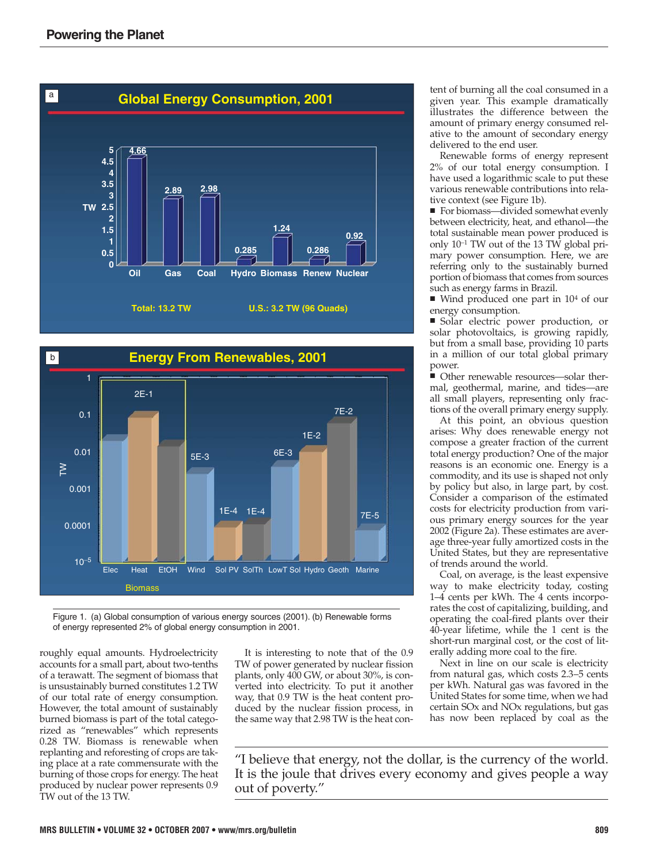



Figure 1. (a) Global consumption of various energy sources (2001). (b) Renewable forms of energy represented 2% of global energy consumption in 2001.

roughly equal amounts. Hydroelectricity accounts for a small part, about two-tenths of a terawatt. The segment of biomass that is unsustainably burned constitutes 1.2 TW of our total rate of energy consumption. However, the total amount of sustainably burned biomass is part of the total categorized as "renewables" which represents 0.28 TW. Biomass is renewable when replanting and reforesting of crops are taking place at a rate commensurate with the burning of those crops for energy. The heat produced by nuclear power represents 0.9 TW out of the 13 TW.

It is interesting to note that of the 0.9 TW of power generated by nuclear fission plants, only 400 GW, or about 30%, is converted into electricity. To put it another way, that 0.9 TW is the heat content produced by the nuclear fission process, in the same way that 2.98 TW is the heat content of burning all the coal consumed in a given year. This example dramatically illustrates the difference between the amount of primary energy consumed relative to the amount of secondary energy delivered to the end user.

Renewable forms of energy represent 2% of our total energy consumption. I have used a logarithmic scale to put these various renewable contributions into relative context (see Figure 1b).

■ For biomass—divided somewhat evenly between electricity, heat, and ethanol—the total sustainable mean power produced is only 10<sup>−</sup><sup>1</sup> TW out of the 13 TW global primary power consumption. Here, we are referring only to the sustainably burned portion of biomass that comes from sources such as energy farms in Brazil.

 $\blacksquare$  Wind produced one part in 10<sup>4</sup> of our energy consumption.

■ Solar electric power production, or solar photovoltaics, is growing rapidly, but from a small base, providing 10 parts in a million of our total global primary power.

■ Other renewable resources—solar thermal, geothermal, marine, and tides—are all small players, representing only fractions of the overall primary energy supply.

At this point, an obvious question arises: Why does renewable energy not compose a greater fraction of the current total energy production? One of the major reasons is an economic one. Energy is a commodity, and its use is shaped not only by policy but also, in large part, by cost. Consider a comparison of the estimated costs for electricity production from various primary energy sources for the year 2002 (Figure 2a). These estimates are average three-year fully amortized costs in the United States, but they are representative of trends around the world.

Coal, on average, is the least expensive way to make electricity today, costing 1–4 cents per kWh. The 4 cents incorporates the cost of capitalizing, building, and operating the coal-fired plants over their 40-year lifetime, while the 1 cent is the short-run marginal cost, or the cost of literally adding more coal to the fire.

Next in line on our scale is electricity from natural gas, which costs 2.3–5 cents per kWh. Natural gas was favored in the United States for some time, when we had certain SOx and NOx regulations, but gas has now been replaced by coal as the

"I believe that energy, not the dollar, is the currency of the world. It is the joule that drives every economy and gives people a way out of poverty."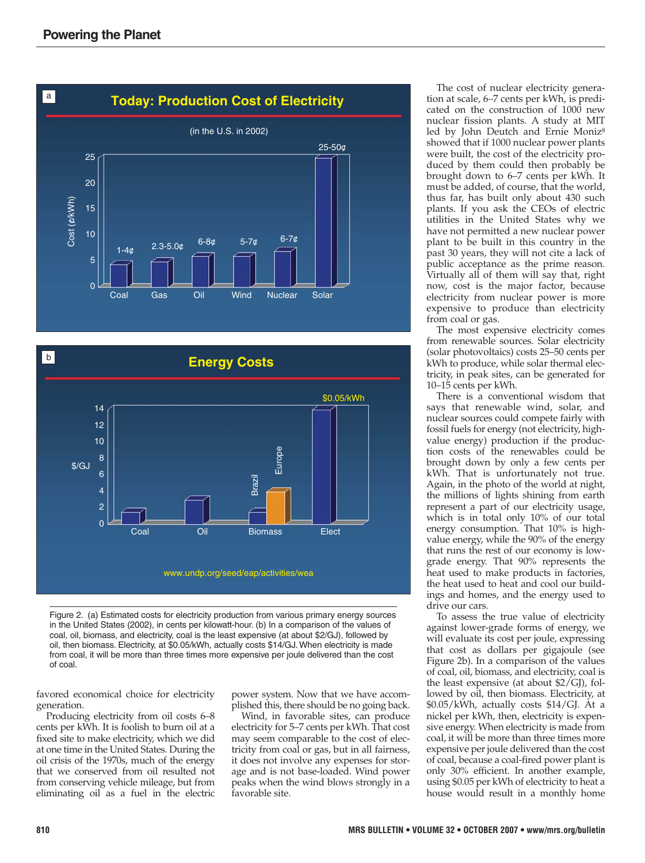



Figure 2. (a) Estimated costs for electricity production from various primary energy sources in the United States (2002), in cents per kilowatt-hour. (b) In a comparison of the values of coal, oil, biomass, and electricity, coal is the least expensive (at about \$2/GJ), followed by oil, then biomass. Electricity, at \$0.05/kWh, actually costs \$14/GJ. When electricity is made from coal, it will be more than three times more expensive per joule delivered than the cost of coal.

favored economical choice for electricity generation.

Producing electricity from oil costs 6–8 cents per kWh. It is foolish to burn oil at a fixed site to make electricity, which we did at one time in the United States. During the oil crisis of the 1970s, much of the energy that we conserved from oil resulted not from conserving vehicle mileage, but from eliminating oil as a fuel in the electric

power system. Now that we have accomplished this, there should be no going back.

Wind, in favorable sites, can produce electricity for 5–7 cents per kWh. That cost may seem comparable to the cost of electricity from coal or gas, but in all fairness, it does not involve any expenses for storage and is not base-loaded. Wind power peaks when the wind blows strongly in a favorable site.

The cost of nuclear electricity generation at scale, 6–7 cents per kWh, is predicated on the construction of 1000 new nuclear fission plants. A study at MIT led by John Deutch and Ernie Moniz8 showed that if 1000 nuclear power plants were built, the cost of the electricity produced by them could then probably be brought down to 6–7 cents per kWh. It must be added, of course, that the world, thus far, has built only about 430 such plants. If you ask the CEOs of electric utilities in the United States why we have not permitted a new nuclear power plant to be built in this country in the past 30 years, they will not cite a lack of public acceptance as the prime reason. Virtually all of them will say that, right now, cost is the major factor, because electricity from nuclear power is more expensive to produce than electricity from coal or gas.

The most expensive electricity comes from renewable sources. Solar electricity (solar photovoltaics) costs 25–50 cents per kWh to produce, while solar thermal electricity, in peak sites, can be generated for 10–15 cents per kWh.

There is a conventional wisdom that says that renewable wind, solar, and nuclear sources could compete fairly with fossil fuels for energy (not electricity, highvalue energy) production if the production costs of the renewables could be brought down by only a few cents per kWh. That is unfortunately not true. Again, in the photo of the world at night, the millions of lights shining from earth represent a part of our electricity usage, which is in total only 10% of our total energy consumption. That 10% is highvalue energy, while the 90% of the energy that runs the rest of our economy is lowgrade energy. That 90% represents the heat used to make products in factories, the heat used to heat and cool our buildings and homes, and the energy used to drive our cars.

To assess the true value of electricity against lower-grade forms of energy, we will evaluate its cost per joule, expressing that cost as dollars per gigajoule (see Figure 2b). In a comparison of the values of coal, oil, biomass, and electricity, coal is the least expensive (at about  $$2/GJ$ ), followed by oil, then biomass. Electricity, at \$0.05/kWh, actually costs \$14/GJ. At a nickel per kWh, then, electricity is expensive energy. When electricity is made from coal, it will be more than three times more expensive per joule delivered than the cost of coal, because a coal-fired power plant is only 30% efficient. In another example, using \$0.05 per kWh of electricity to heat a house would result in a monthly home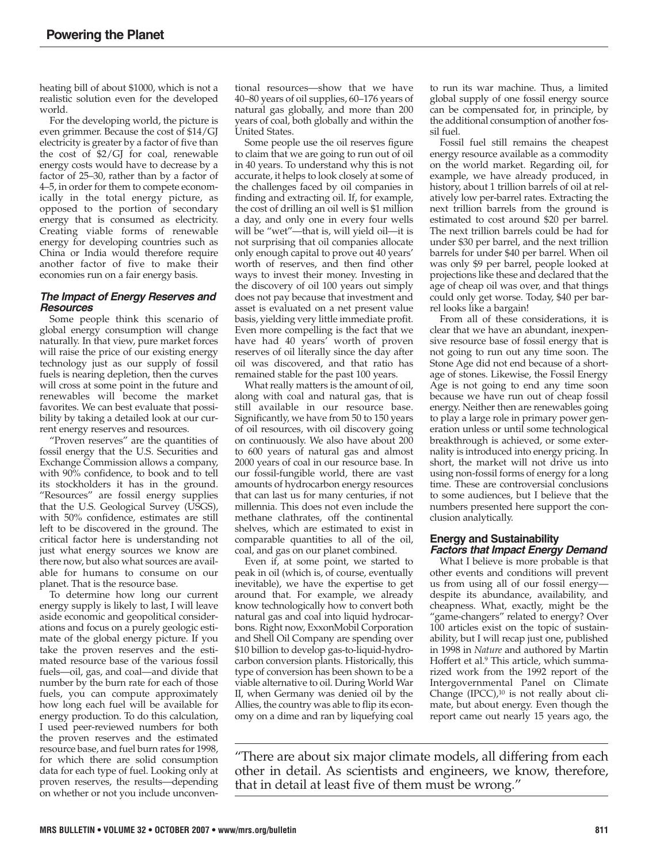heating bill of about \$1000, which is not a realistic solution even for the developed world.

For the developing world, the picture is even grimmer. Because the cost of \$14/GJ electricity is greater by a factor of five than the cost of \$2/GJ for coal, renewable energy costs would have to decrease by a factor of 25–30, rather than by a factor of 4–5, in order for them to compete economically in the total energy picture, as opposed to the portion of secondary energy that is consumed as electricity. Creating viable forms of renewable energy for developing countries such as China or India would therefore require another factor of five to make their economies run on a fair energy basis.

# **The Impact of Energy Reserves and Resources**

Some people think this scenario of global energy consumption will change naturally. In that view, pure market forces will raise the price of our existing energy technology just as our supply of fossil fuels is nearing depletion, then the curves will cross at some point in the future and renewables will become the market favorites. We can best evaluate that possibility by taking a detailed look at our current energy reserves and resources.

"Proven reserves" are the quantities of fossil energy that the U.S. Securities and Exchange Commission allows a company, with 90% confidence, to book and to tell its stockholders it has in the ground. "Resources" are fossil energy supplies that the U.S. Geological Survey (USGS), with 50% confidence, estimates are still left to be discovered in the ground. The critical factor here is understanding not just what energy sources we know are there now, but also what sources are available for humans to consume on our planet. That is the resource base.

To determine how long our current energy supply is likely to last, I will leave aside economic and geopolitical considerations and focus on a purely geologic estimate of the global energy picture. If you take the proven reserves and the estimated resource base of the various fossil fuels—oil, gas, and coal—and divide that number by the burn rate for each of those fuels, you can compute approximately how long each fuel will be available for energy production. To do this calculation, I used peer-reviewed numbers for both the proven reserves and the estimated resource base, and fuel burn rates for 1998, for which there are solid consumption data for each type of fuel. Looking only at proven reserves, the results—depending on whether or not you include unconventional resources—show that we have 40–80 years of oil supplies, 60–176 years of natural gas globally, and more than 200 years of coal, both globally and within the United States.

Some people use the oil reserves figure to claim that we are going to run out of oil in 40 years. To understand why this is not accurate, it helps to look closely at some of the challenges faced by oil companies in finding and extracting oil. If, for example, the cost of drilling an oil well is \$1 million a day, and only one in every four wells will be "wet"—that is, will yield oil—it is not surprising that oil companies allocate only enough capital to prove out 40 years' worth of reserves, and then find other ways to invest their money. Investing in the discovery of oil 100 years out simply does not pay because that investment and asset is evaluated on a net present value basis, yielding very little immediate profit. Even more compelling is the fact that we have had 40 years' worth of proven reserves of oil literally since the day after oil was discovered, and that ratio has remained stable for the past 100 years.

What really matters is the amount of oil, along with coal and natural gas, that is still available in our resource base. Significantly, we have from 50 to 150 years of oil resources, with oil discovery going on continuously. We also have about 200 to 600 years of natural gas and almost 2000 years of coal in our resource base. In our fossil-fungible world, there are vast amounts of hydrocarbon energy resources that can last us for many centuries, if not millennia. This does not even include the methane clathrates, off the continental shelves, which are estimated to exist in comparable quantities to all of the oil, coal, and gas on our planet combined.

Even if, at some point, we started to peak in oil (which is, of course, eventually inevitable), we have the expertise to get around that. For example, we already know technologically how to convert both natural gas and coal into liquid hydrocarbons. Right now, ExxonMobil Corporation and Shell Oil Company are spending over \$10 billion to develop gas-to-liquid-hydrocarbon conversion plants. Historically, this type of conversion has been shown to be a viable alternative to oil. During World War II, when Germany was denied oil by the Allies, the country was able to flip its economy on a dime and ran by liquefying coal

to run its war machine. Thus, a limited global supply of one fossil energy source can be compensated for, in principle, by the additional consumption of another fossil fuel.

Fossil fuel still remains the cheapest energy resource available as a commodity on the world market. Regarding oil, for example, we have already produced, in history, about 1 trillion barrels of oil at relatively low per-barrel rates. Extracting the next trillion barrels from the ground is estimated to cost around \$20 per barrel. The next trillion barrels could be had for under \$30 per barrel, and the next trillion barrels for under \$40 per barrel. When oil was only \$9 per barrel, people looked at projections like these and declared that the age of cheap oil was over, and that things could only get worse. Today, \$40 per barrel looks like a bargain!

From all of these considerations, it is clear that we have an abundant, inexpensive resource base of fossil energy that is not going to run out any time soon. The Stone Age did not end because of a shortage of stones. Likewise, the Fossil Energy Age is not going to end any time soon because we have run out of cheap fossil energy. Neither then are renewables going to play a large role in primary power generation unless or until some technological breakthrough is achieved, or some externality is introduced into energy pricing. In short, the market will not drive us into using non-fossil forms of energy for a long time. These are controversial conclusions to some audiences, but I believe that the numbers presented here support the conclusion analytically.

## **Energy and Sustainability Factors that Impact Energy Demand**

What I believe is more probable is that other events and conditions will prevent us from using all of our fossil energy despite its abundance, availability, and cheapness. What, exactly, might be the "game-changers" related to energy? Over 100 articles exist on the topic of sustainability, but I will recap just one, published in 1998 in *Nature* and authored by Martin Hoffert et al.9 This article, which summarized work from the 1992 report of the Intergovernmental Panel on Climate Change  $(IPCC)<sup>10</sup>$  is not really about climate, but about energy. Even though the report came out nearly 15 years ago, the

"There are about six major climate models, all differing from each other in detail. As scientists and engineers, we know, therefore, that in detail at least five of them must be wrong."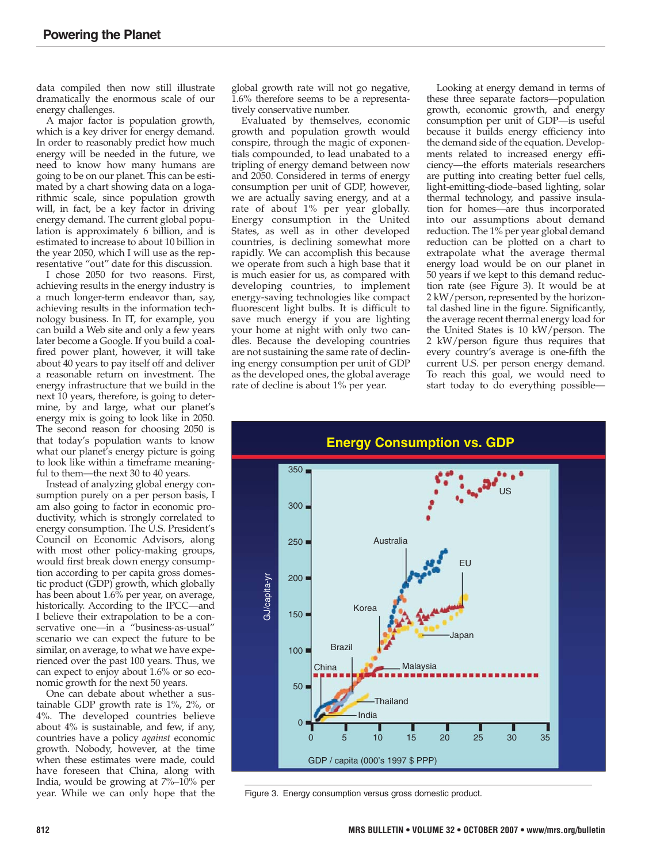data compiled then now still illustrate dramatically the enormous scale of our energy challenges.

A major factor is population growth, which is a key driver for energy demand. In order to reasonably predict how much energy will be needed in the future, we need to know how many humans are going to be on our planet. This can be estimated by a chart showing data on a logarithmic scale, since population growth will, in fact, be a key factor in driving energy demand. The current global population is approximately 6 billion, and is estimated to increase to about 10 billion in the year 2050, which I will use as the representative "out" date for this discussion.

I chose 2050 for two reasons. First, achieving results in the energy industry is a much longer-term endeavor than, say, achieving results in the information technology business. In IT, for example, you can build a Web site and only a few years later become a Google. If you build a coalfired power plant, however, it will take about 40 years to pay itself off and deliver a reasonable return on investment. The energy infrastructure that we build in the next 10 years, therefore, is going to determine, by and large, what our planet's energy mix is going to look like in 2050. The second reason for choosing 2050 is that today's population wants to know what our planet's energy picture is going to look like within a timeframe meaningful to them—the next 30 to 40 years.

Instead of analyzing global energy consumption purely on a per person basis, I am also going to factor in economic productivity, which is strongly correlated to energy consumption. The U.S. President's Council on Economic Advisors, along with most other policy-making groups, would first break down energy consumption according to per capita gross domestic product (GDP) growth, which globally has been about 1.6% per year, on average, historically. According to the IPCC—and I believe their extrapolation to be a conservative one—in a "business-as-usual" scenario we can expect the future to be similar, on average, to what we have experienced over the past 100 years. Thus, we can expect to enjoy about 1.6% or so economic growth for the next 50 years.

One can debate about whether a sustainable GDP growth rate is 1%, 2%, or 4%. The developed countries believe about 4% is sustainable, and few, if any, countries have a policy *against* economic growth. Nobody, however, at the time when these estimates were made, could have foreseen that China, along with India, would be growing at 7%–10% per year. While we can only hope that the

global growth rate will not go negative, 1.6% therefore seems to be a representatively conservative number.

Evaluated by themselves, economic growth and population growth would conspire, through the magic of exponentials compounded, to lead unabated to a tripling of energy demand between now and 2050. Considered in terms of energy consumption per unit of GDP, however, we are actually saving energy, and at a rate of about 1% per year globally. Energy consumption in the United States, as well as in other developed countries, is declining somewhat more rapidly. We can accomplish this because we operate from such a high base that it is much easier for us, as compared with developing countries, to implement energy-saving technologies like compact fluorescent light bulbs. It is difficult to save much energy if you are lighting your home at night with only two candles. Because the developing countries are not sustaining the same rate of declining energy consumption per unit of GDP as the developed ones, the global average rate of decline is about 1% per year.

Looking at energy demand in terms of these three separate factors—population growth, economic growth, and energy consumption per unit of GDP—is useful because it builds energy efficiency into the demand side of the equation. Developments related to increased energy efficiency—the efforts materials researchers are putting into creating better fuel cells, light-emitting-diode–based lighting, solar thermal technology, and passive insulation for homes—are thus incorporated into our assumptions about demand reduction. The 1% per year global demand reduction can be plotted on a chart to extrapolate what the average thermal energy load would be on our planet in 50 years if we kept to this demand reduction rate (see Figure 3). It would be at 2 kW/person, represented by the horizontal dashed line in the figure. Significantly, the average recent thermal energy load for the United States is 10 kW/person. The 2 kW/person figure thus requires that every country's average is one-fifth the current U.S. per person energy demand. To reach this goal, we would need to start today to do everything possible—



Figure 3. Energy consumption versus gross domestic product.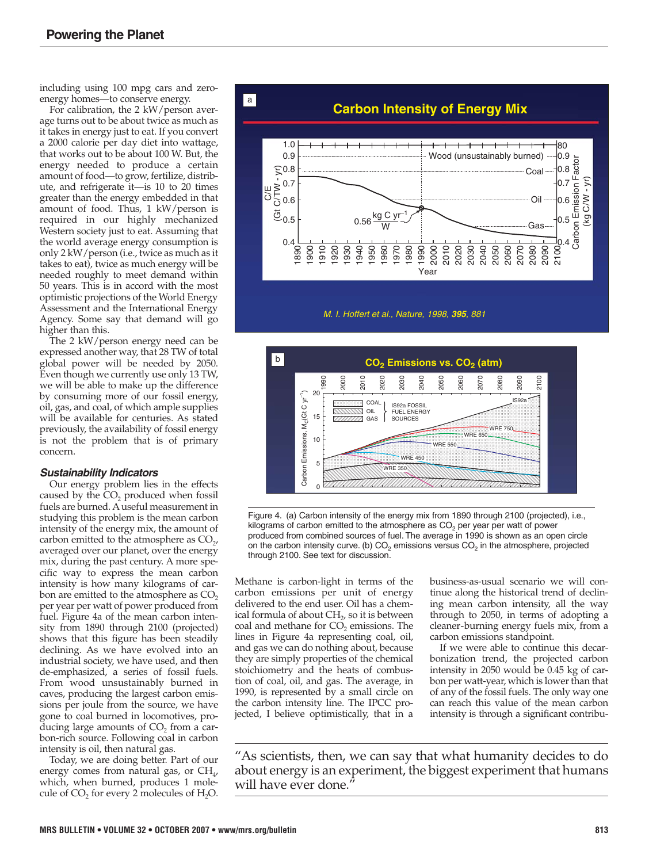including using 100 mpg cars and zeroenergy homes—to conserve energy.

For calibration, the 2 kW/person average turns out to be about twice as much as it takes in energy just to eat. If you convert a 2000 calorie per day diet into wattage, that works out to be about 100 W. But, the energy needed to produce a certain amount of food—to grow, fertilize, distribute, and refrigerate it—is 10 to 20 times greater than the energy embedded in that amount of food. Thus, 1 kW/person is required in our highly mechanized Western society just to eat. Assuming that the world average energy consumption is only 2 kW/person (i.e., twice as much as it takes to eat), twice as much energy will be needed roughly to meet demand within 50 years. This is in accord with the most optimistic projections of the World Energy Assessment and the International Energy Agency. Some say that demand will go higher than this.

The 2 kW/person energy need can be expressed another way, that 28 TW of total global power will be needed by 2050. Even though we currently use only 13 TW, we will be able to make up the difference by consuming more of our fossil energy, oil, gas, and coal, of which ample supplies will be available for centuries. As stated previously, the availability of fossil energy is not the problem that is of primary concern.

#### **Sustainability Indicators**

Our energy problem lies in the effects caused by the  $CO<sub>2</sub>$  produced when fossil fuels are burned. A useful measurement in studying this problem is the mean carbon intensity of the energy mix, the amount of carbon emitted to the atmosphere as  $CO<sub>2</sub>$ , averaged over our planet, over the energy mix, during the past century. A more specific way to express the mean carbon intensity is how many kilograms of carbon are emitted to the atmosphere as  $CO<sub>2</sub>$ per year per watt of power produced from fuel. Figure 4a of the mean carbon intensity from 1890 through 2100 (projected) shows that this figure has been steadily declining. As we have evolved into an industrial society, we have used, and then de-emphasized, a series of fossil fuels. From wood unsustainably burned in caves, producing the largest carbon emissions per joule from the source, we have gone to coal burned in locomotives, producing large amounts of  $CO<sub>2</sub>$  from a carbon-rich source. Following coal in carbon intensity is oil, then natural gas.

Today, we are doing better. Part of our energy comes from natural gas, or  $CH_{\mu}$ , which, when burned, produces 1 molecule of  $CO<sub>2</sub>$  for every 2 molecules of  $H<sub>2</sub>O$ .



*M. I. Hoffert et al., Nature, 1998, 395, 881*



Figure 4. (a) Carbon intensity of the energy mix from 1890 through 2100 (projected), i.e., kilograms of carbon emitted to the atmosphere as  $CO<sub>2</sub>$  per year per watt of power produced from combined sources of fuel. The average in 1990 is shown as an open circle on the carbon intensity curve. (b)  $CO<sub>2</sub>$  emissions versus  $CO<sub>2</sub>$  in the atmosphere, projected through 2100. See text for discussion.

Methane is carbon-light in terms of the carbon emissions per unit of energy delivered to the end user. Oil has a chemical formula of about  $CH<sub>2</sub>$ , so it is between coal and methane for CO<sub>2</sub> emissions. The lines in Figure 4a representing coal, oil, and gas we can do nothing about, because they are simply properties of the chemical stoichiometry and the heats of combustion of coal, oil, and gas. The average, in 1990, is represented by a small circle on the carbon intensity line. The IPCC projected, I believe optimistically, that in a

business-as-usual scenario we will continue along the historical trend of declining mean carbon intensity, all the way through to 2050, in terms of adopting a cleaner-burning energy fuels mix, from a carbon emissions standpoint.

If we were able to continue this decarbonization trend, the projected carbon intensity in 2050 would be 0.45 kg of carbon per watt-year, which is lower than that of any of the fossil fuels. The only way one can reach this value of the mean carbon intensity is through a significant contribu-

"As scientists, then, we can say that what humanity decides to do about energy is an experiment, the biggest experiment that humans will have ever done.'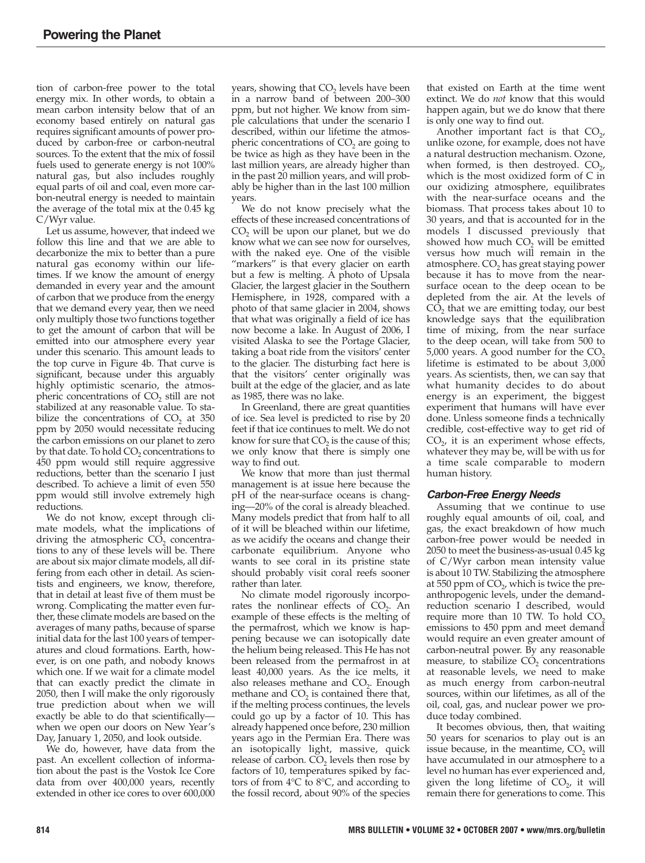tion of carbon-free power to the total energy mix. In other words, to obtain a mean carbon intensity below that of an economy based entirely on natural gas requires significant amounts of power produced by carbon-free or carbon-neutral sources. To the extent that the mix of fossil fuels used to generate energy is not 100% natural gas, but also includes roughly equal parts of oil and coal, even more carbon-neutral energy is needed to maintain the average of the total mix at the 0.45 kg C/Wyr value.

Let us assume, however, that indeed we follow this line and that we are able to decarbonize the mix to better than a pure natural gas economy within our lifetimes. If we know the amount of energy demanded in every year and the amount of carbon that we produce from the energy that we demand every year, then we need only multiply those two functions together to get the amount of carbon that will be emitted into our atmosphere every year under this scenario. This amount leads to the top curve in Figure 4b. That curve is significant, because under this arguably highly optimistic scenario, the atmospheric concentrations of  $CO<sub>2</sub>$  still are not stabilized at any reasonable value. To stabilize the concentrations of  $CO<sub>2</sub>$  at 350 ppm by 2050 would necessitate reducing the carbon emissions on our planet to zero by that date. To hold CO<sub>2</sub> concentrations to 450 ppm would still require aggressive reductions, better than the scenario I just described. To achieve a limit of even 550 ppm would still involve extremely high reductions.

We do not know, except through climate models, what the implications of driving the atmospheric  $CO<sub>2</sub>$  concentrations to any of these levels will be. There are about six major climate models, all differing from each other in detail. As scientists and engineers, we know, therefore, that in detail at least five of them must be wrong. Complicating the matter even further, these climate models are based on the averages of many paths, because of sparse initial data for the last 100 years of temperatures and cloud formations. Earth, however, is on one path, and nobody knows which one. If we wait for a climate model that can exactly predict the climate in 2050, then I will make the only rigorously true prediction about when we will exactly be able to do that scientifically when we open our doors on New Year's Day, January 1, 2050, and look outside.

We do, however, have data from the past. An excellent collection of information about the past is the Vostok Ice Core data from over 400,000 years, recently extended in other ice cores to over 600,000

years, showing that  $CO<sub>2</sub>$  levels have been in a narrow band of between 200–300 ppm, but not higher. We know from simple calculations that under the scenario I described, within our lifetime the atmospheric concentrations of  $CO<sub>2</sub>$  are going to be twice as high as they have been in the last million years, are already higher than in the past 20 million years, and will probably be higher than in the last 100 million years.

We do not know precisely what the effects of these increased concentrations of CO<sub>2</sub> will be upon our planet, but we do know what we can see now for ourselves, with the naked eye. One of the visible "markers" is that every glacier on earth but a few is melting. A photo of Upsala Glacier, the largest glacier in the Southern Hemisphere, in 1928, compared with a photo of that same glacier in 2004, shows that what was originally a field of ice has now become a lake. In August of 2006, I visited Alaska to see the Portage Glacier, taking a boat ride from the visitors' center to the glacier. The disturbing fact here is that the visitors' center originally was built at the edge of the glacier, and as late as 1985, there was no lake.

In Greenland, there are great quantities of ice. Sea level is predicted to rise by 20 feet if that ice continues to melt. We do not know for sure that  $CO<sub>2</sub>$  is the cause of this; we only know that there is simply one way to find out.

We know that more than just thermal management is at issue here because the pH of the near-surface oceans is changing—20% of the coral is already bleached. Many models predict that from half to all of it will be bleached within our lifetime, as we acidify the oceans and change their carbonate equilibrium. Anyone who wants to see coral in its pristine state should probably visit coral reefs sooner rather than later.

No climate model rigorously incorporates the nonlinear effects of  $CO<sub>2</sub>$ . An example of these effects is the melting of the permafrost, which we know is happening because we can isotopically date the helium being released. This He has not been released from the permafrost in at least 40,000 years. As the ice melts, it also releases methane and  $CO<sub>2</sub>$ . Enough methane and CO<sub>2</sub> is contained there that, if the melting process continues, the levels could go up by a factor of 10. This has already happened once before, 230 million years ago in the Permian Era. There was an isotopically light, massive, quick release of carbon.  $CO<sub>2</sub>$  levels then rose by factors of 10, temperatures spiked by factors of from 4°C to 8°C, and according to the fossil record, about 90% of the species

that existed on Earth at the time went extinct. We do *not* know that this would happen again, but we do know that there is only one way to find out.

Another important fact is that  $CO<sub>2</sub>$ , unlike ozone, for example, does not have a natural destruction mechanism. Ozone, when formed, is then destroyed.  $CO<sub>2</sub>$ , which is the most oxidized form of C in our oxidizing atmosphere, equilibrates with the near-surface oceans and the biomass. That process takes about 10 to 30 years, and that is accounted for in the models I discussed previously that showed how much  $CO<sub>2</sub>$  will be emitted versus how much will remain in the atmosphere. CO<sub>2</sub> has great staying power because it has to move from the near surface ocean to the deep ocean to be depleted from the air. At the levels of  $CO<sub>2</sub>$  that we are emitting today, our best knowledge says that the equilibration time of mixing, from the near surface to the deep ocean, will take from 500 to 5,000 years. A good number for the  $CO<sub>2</sub>$ lifetime is estimated to be about 3,000 years. As scientists, then, we can say that what humanity decides to do about energy is an experiment, the biggest experiment that humans will have ever done. Unless someone finds a technically credible, cost-effective way to get rid of  $CO<sub>2</sub>$ , it is an experiment whose effects, whatever they may be, will be with us for a time scale comparable to modern human history.

# **Carbon-Free Energy Needs**

Assuming that we continue to use roughly equal amounts of oil, coal, and gas, the exact breakdown of how much carbon-free power would be needed in 2050 to meet the business-as-usual 0.45 kg of C/Wyr carbon mean intensity value is about 10 TW. Stabilizing the atmosphere at 550 ppm of  $CO<sub>2</sub>$ , which is twice the preanthropogenic levels, under the demandreduction scenario I described, would require more than 10 TW. To hold  $CO<sub>2</sub>$ emissions to 450 ppm and meet demand would require an even greater amount of carbon-neutral power. By any reasonable measure, to stabilize  $CO<sub>2</sub>$  concentrations at reasonable levels, we need to make as much energy from carbon-neutral sources, within our lifetimes, as all of the oil, coal, gas, and nuclear power we produce today combined.

It becomes obvious, then, that waiting 50 years for scenarios to play out is an issue because, in the meantime,  $CO<sub>2</sub>$  will have accumulated in our atmosphere to a level no human has ever experienced and, given the long lifetime of  $CO<sub>2</sub>$ , it will remain there for generations to come. This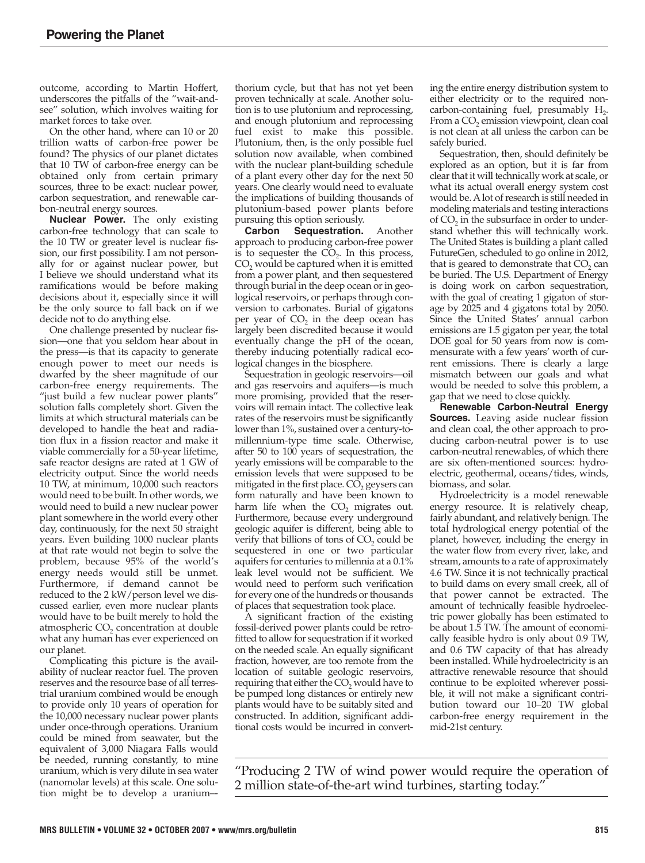outcome, according to Martin Hoffert, underscores the pitfalls of the "wait-andsee" solution, which involves waiting for market forces to take over.

On the other hand, where can 10 or 20 trillion watts of carbon-free power be found? The physics of our planet dictates that 10 TW of carbon-free energy can be obtained only from certain primary sources, three to be exact: nuclear power, carbon sequestration, and renewable carbon-neutral energy sources.

**Nuclear Power.** The only existing carbon-free technology that can scale to the 10 TW or greater level is nuclear fission, our first possibility. I am not personally for or against nuclear power, but I believe we should understand what its ramifications would be before making decisions about it, especially since it will be the only source to fall back on if we decide not to do anything else.

One challenge presented by nuclear fission—one that you seldom hear about in the press—is that its capacity to generate enough power to meet our needs is dwarfed by the sheer magnitude of our carbon-free energy requirements. The "just build a few nuclear power plants" solution falls completely short. Given the limits at which structural materials can be developed to handle the heat and radiation flux in a fission reactor and make it viable commercially for a 50-year lifetime, safe reactor designs are rated at 1 GW of electricity output. Since the world needs 10 TW, at minimum, 10,000 such reactors would need to be built. In other words, we would need to build a new nuclear power plant somewhere in the world every other day, continuously, for the next 50 straight years. Even building 1000 nuclear plants at that rate would not begin to solve the problem, because 95% of the world's energy needs would still be unmet. Furthermore, if demand cannot be reduced to the 2 kW/person level we discussed earlier, even more nuclear plants would have to be built merely to hold the atmospheric  $CO<sub>2</sub>$  concentration at double what any human has ever experienced on our planet.

Complicating this picture is the availability of nuclear reactor fuel. The proven reserves and the resource base of all terrestrial uranium combined would be enough to provide only 10 years of operation for the 10,000 necessary nuclear power plants under once-through operations. Uranium could be mined from seawater, but the equivalent of 3,000 Niagara Falls would be needed, running constantly, to mine uranium, which is very dilute in sea water (nanomolar levels) at this scale. One solution might be to develop a uranium--

thorium cycle, but that has not yet been proven technically at scale. Another solution is to use plutonium and reprocessing, and enough plutonium and reprocessing fuel exist to make this possible. Plutonium, then, is the only possible fuel solution now available, when combined with the nuclear plant-building schedule of a plant every other day for the next 50 years. One clearly would need to evaluate the implications of building thousands of plutonium-based power plants before

pursuing this option seriously.<br>**Carbon Sequestration. Sequestration.** Another approach to producing carbon-free power is to sequester the  $CO<sub>2</sub>$ . In this process,  $CO<sub>2</sub>$  would be captured when it is emitted from a power plant, and then sequestered through burial in the deep ocean or in geological reservoirs, or perhaps through conversion to carbonates. Burial of gigatons per year of  $CO<sub>2</sub>$  in the deep ocean has largely been discredited because it would eventually change the pH of the ocean, thereby inducing potentially radical ecological changes in the biosphere.

Sequestration in geologic reservoirs—oil and gas reservoirs and aquifers—is much more promising, provided that the reservoirs will remain intact. The collective leak rates of the reservoirs must be significantly lower than 1%, sustained over a century-tomillennium-type time scale. Otherwise, after 50 to 100 years of sequestration, the yearly emissions will be comparable to the emission levels that were supposed to be mitigated in the first place.  $CO<sub>2</sub>$  geysers can form naturally and have been known to harm life when the  $CO<sub>2</sub>$  migrates out. Furthermore, because every underground geologic aquifer is different, being able to verify that billions of tons of  $CO<sub>2</sub>$  could be sequestered in one or two particular aquifers for centuries to millennia at a 0.1% leak level would not be sufficient. We would need to perform such verification for every one of the hundreds or thousands of places that sequestration took place.

A significant fraction of the existing fossil-derived power plants could be retrofitted to allow for sequestration if it worked on the needed scale. An equally significant fraction, however, are too remote from the location of suitable geologic reservoirs, requiring that either the  $CO<sub>2</sub>$  would have to be pumped long distances or entirely new plants would have to be suitably sited and constructed. In addition, significant additional costs would be incurred in converting the entire energy distribution system to either electricity or to the required non carbon-containing fuel, presumably  $H_2$ . From a CO<sub>2</sub> emission viewpoint, clean coal is not clean at all unless the carbon can be safely buried.

Sequestration, then, should definitely be explored as an option, but it is far from clear that it will technically work at scale, or what its actual overall energy system cost would be. A lot of research is still needed in modeling materials and testing interactions of  $CO<sub>2</sub>$  in the subsurface in order to understand whether this will technically work. The United States is building a plant called FutureGen, scheduled to go online in 2012, that is geared to demonstrate that  $CO<sub>2</sub>$  can be buried. The U.S. Department of Energy is doing work on carbon sequestration, with the goal of creating 1 gigaton of storage by 2025 and 4 gigatons total by 2050. Since the United States' annual carbon emissions are 1.5 gigaton per year, the total DOE goal for 50 years from now is commensurate with a few years' worth of current emissions. There is clearly a large mismatch between our goals and what would be needed to solve this problem, a gap that we need to close quickly.

**Renewable Carbon-Neutral Energy Sources.** Leaving aside nuclear fission and clean coal, the other approach to producing carbon-neutral power is to use carbon-neutral renewables, of which there are six often-mentioned sources: hydroelectric, geothermal, oceans/tides, winds, biomass, and solar.

Hydroelectricity is a model renewable energy resource. It is relatively cheap, fairly abundant, and relatively benign. The total hydrological energy potential of the planet, however, including the energy in the water flow from every river, lake, and stream, amounts to a rate of approximately 4.6 TW. Since it is not technically practical to build dams on every small creek, all of that power cannot be extracted. The amount of technically feasible hydroelectric power globally has been estimated to be about 1.5 TW. The amount of economically feasible hydro is only about 0.9 TW, and 0.6 TW capacity of that has already been installed. While hydroelectricity is an attractive renewable resource that should continue to be exploited wherever possible, it will not make a significant contribution toward our 10–20 TW global carbon-free energy requirement in the mid-21st century.

"Producing 2 TW of wind power would require the operation of 2 million state-of-the-art wind turbines, starting today."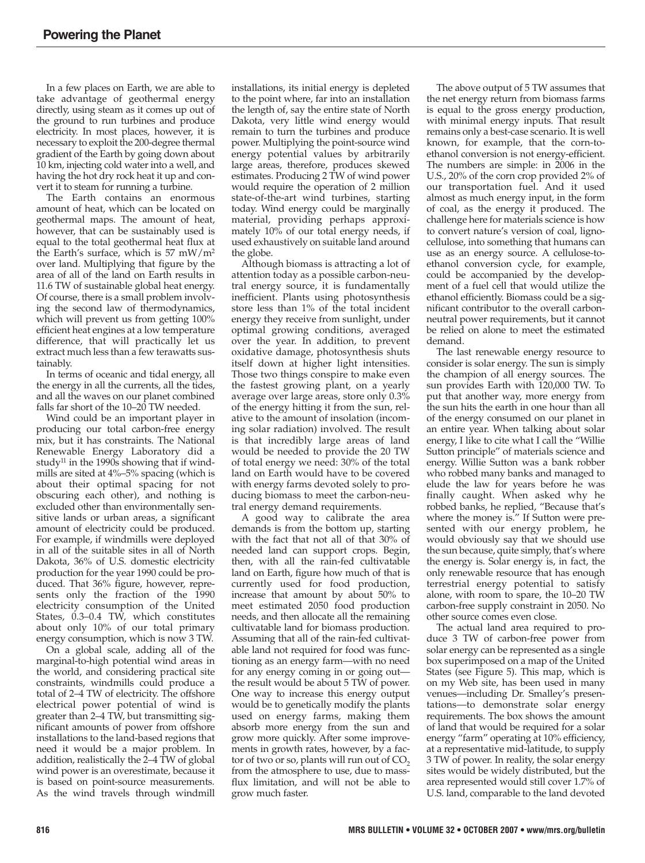In a few places on Earth, we are able to take advantage of geothermal energy directly, using steam as it comes up out of the ground to run turbines and produce electricity. In most places, however, it is necessary to exploit the 200-degree thermal gradient of the Earth by going down about 10 km, injecting cold water into a well, and having the hot dry rock heat it up and convert it to steam for running a turbine.

The Earth contains an enormous amount of heat, which can be located on geothermal maps. The amount of heat, however, that can be sustainably used is equal to the total geothermal heat flux at the Earth's surface, which is 57 mW/m2 over land. Multiplying that figure by the area of all of the land on Earth results in 11.6 TW of sustainable global heat energy. Of course, there is a small problem involving the second law of thermodynamics, which will prevent us from getting 100% efficient heat engines at a low temperature difference, that will practically let us extract much less than a few terawatts sustainably.

In terms of oceanic and tidal energy, all the energy in all the currents, all the tides, and all the waves on our planet combined falls far short of the 10–20 TW needed.

Wind could be an important player in producing our total carbon-free energy mix, but it has constraints. The National Renewable Energy Laboratory did a study<sup>11</sup> in the 1990s showing that if windmills are sited at 4%–5% spacing (which is about their optimal spacing for not obscuring each other), and nothing is excluded other than environmentally sensitive lands or urban areas, a significant amount of electricity could be produced. For example, if windmills were deployed in all of the suitable sites in all of North Dakota, 36% of U.S. domestic electricity production for the year 1990 could be produced. That 36% figure, however, represents only the fraction of the 1990 electricity consumption of the United States, 0.3–0.4 TW, which constitutes about only 10% of our total primary energy consumption, which is now 3 TW.

On a global scale, adding all of the marginal-to-high potential wind areas in the world, and considering practical site constraints, windmills could produce a total of 2–4 TW of electricity. The offshore electrical power potential of wind is greater than 2–4 TW, but transmitting significant amounts of power from offshore installations to the land-based regions that need it would be a major problem. In addition, realistically the 2–4 TW of global wind power is an overestimate, because it is based on point-source measurements. As the wind travels through windmill

installations, its initial energy is depleted to the point where, far into an installation the length of, say the entire state of North Dakota, very little wind energy would remain to turn the turbines and produce power. Multiplying the point-source wind energy potential values by arbitrarily large areas, therefore, produces skewed estimates. Producing 2 TW of wind power would require the operation of 2 million state-of-the-art wind turbines, starting today. Wind energy could be marginally material, providing perhaps approximately 10% of our total energy needs, if used exhaustively on suitable land around the globe.

Although biomass is attracting a lot of attention today as a possible carbon-neutral energy source, it is fundamentally inefficient. Plants using photosynthesis store less than 1% of the total incident energy they receive from sunlight, under optimal growing conditions, averaged over the year. In addition, to prevent oxidative damage, photosynthesis shuts itself down at higher light intensities. Those two things conspire to make even the fastest growing plant, on a yearly average over large areas, store only 0.3% of the energy hitting it from the sun, relative to the amount of insolation (incoming solar radiation) involved. The result is that incredibly large areas of land would be needed to provide the 20 TW of total energy we need: 30% of the total land on Earth would have to be covered with energy farms devoted solely to producing biomass to meet the carbon-neutral energy demand requirements.

A good way to calibrate the area demands is from the bottom up, starting with the fact that not all of that 30% of needed land can support crops. Begin, then, with all the rain-fed cultivatable land on Earth, figure how much of that is currently used for food production, increase that amount by about 50% to meet estimated 2050 food production needs, and then allocate all the remaining cultivatable land for biomass production. Assuming that all of the rain-fed cultivatable land not required for food was functioning as an energy farm—with no need for any energy coming in or going out the result would be about 5 TW of power. One way to increase this energy output would be to genetically modify the plants used on energy farms, making them absorb more energy from the sun and grow more quickly. After some improvements in growth rates, however, by a factor of two or so, plants will run out of  $CO<sub>2</sub>$ from the atmosphere to use, due to massflux limitation, and will not be able to grow much faster.

The above output of 5 TW assumes that the net energy return from biomass farms is equal to the gross energy production, with minimal energy inputs. That result remains only a best-case scenario. It is well known, for example, that the corn-toethanol conversion is not energy-efficient. The numbers are simple: in 2006 in the U.S., 20% of the corn crop provided 2% of our transportation fuel. And it used almost as much energy input, in the form of coal, as the energy it produced. The challenge here for materials science is how to convert nature's version of coal, lignocellulose, into something that humans can use as an energy source. A cellulose-toethanol conversion cycle, for example, could be accompanied by the development of a fuel cell that would utilize the ethanol efficiently. Biomass could be a significant contributor to the overall carbonneutral power requirements, but it cannot be relied on alone to meet the estimated demand.

The last renewable energy resource to consider is solar energy. The sun is simply the champion of all energy sources. The sun provides Earth with 120,000 TW. To put that another way, more energy from the sun hits the earth in one hour than all of the energy consumed on our planet in an entire year. When talking about solar energy, I like to cite what I call the "Willie Sutton principle" of materials science and energy. Willie Sutton was a bank robber who robbed many banks and managed to elude the law for years before he was finally caught. When asked why he robbed banks, he replied, "Because that's where the money is." If Sutton were presented with our energy problem, he would obviously say that we should use the sun because, quite simply, that's where the energy is. Solar energy is, in fact, the only renewable resource that has enough terrestrial energy potential to satisfy alone, with room to spare, the 10–20 TW carbon-free supply constraint in 2050. No other source comes even close.

The actual land area required to produce 3 TW of carbon-free power from solar energy can be represented as a single box superimposed on a map of the United States (see Figure 5). This map, which is on my Web site, has been used in many venues—including Dr. Smalley's presentations—to demonstrate solar energy requirements. The box shows the amount of land that would be required for a solar energy "farm" operating at 10% efficiency, at a representative mid-latitude, to supply 3 TW of power. In reality, the solar energy sites would be widely distributed, but the area represented would still cover 1.7% of U.S. land, comparable to the land devoted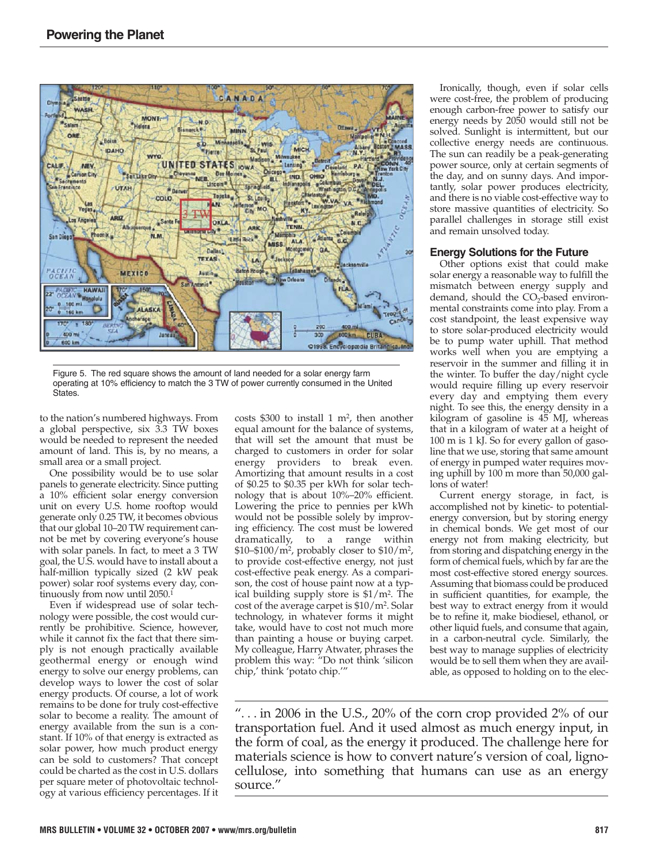

Figure 5. The red square shows the amount of land needed for a solar energy farm operating at 10% efficiency to match the 3 TW of power currently consumed in the United **States** 

to the nation's numbered highways. From a global perspective, six 3.3 TW boxes would be needed to represent the needed amount of land. This is, by no means, a small area or a small project.

One possibility would be to use solar panels to generate electricity. Since putting a 10% efficient solar energy conversion unit on every U.S. home rooftop would generate only 0.25 TW, it becomes obvious that our global 10–20 TW requirement cannot be met by covering everyone's house with solar panels. In fact, to meet a 3 TW goal, the U.S. would have to install about a half-million typically sized (2 kW peak power) solar roof systems every day, continuously from now until 2050.1

Even if widespread use of solar technology were possible, the cost would currently be prohibitive. Science, however, while it cannot fix the fact that there simply is not enough practically available geothermal energy or enough wind energy to solve our energy problems, can develop ways to lower the cost of solar energy products. Of course, a lot of work remains to be done for truly cost-effective solar to become a reality. The amount of energy available from the sun is a constant. If 10% of that energy is extracted as solar power, how much product energy can be sold to customers? That concept could be charted as the cost in U.S. dollars per square meter of photovoltaic technology at various efficiency percentages. If it costs  $$300$  to install 1 m<sup>2</sup>, then another equal amount for the balance of systems, that will set the amount that must be charged to customers in order for solar energy providers to break even. Amortizing that amount results in a cost of \$0.25 to \$0.35 per kWh for solar technology that is about 10%–20% efficient. Lowering the price to pennies per kWh would not be possible solely by improving efficiency. The cost must be lowered dramatically, to a range within \$10–\$100/m2, probably closer to \$10/m2, to provide cost-effective energy, not just cost-effective peak energy. As a comparison, the cost of house paint now at a typical building supply store is \$1/m2. The cost of the average carpet is \$10/m2. Solar technology, in whatever forms it might take, would have to cost not much more than painting a house or buying carpet. My colleague, Harry Atwater, phrases the problem this way: "Do not think 'silicon chip,' think 'potato chip.'"

Ironically, though, even if solar cells were cost-free, the problem of producing enough carbon-free power to satisfy our energy needs by 2050 would still not be solved. Sunlight is intermittent, but our collective energy needs are continuous. The sun can readily be a peak-generating power source, only at certain segments of the day, and on sunny days. And importantly, solar power produces electricity, and there is no viable cost-effective way to store massive quantities of electricity. So parallel challenges in storage still exist and remain unsolved today.

## **Energy Solutions for the Future**

Other options exist that could make solar energy a reasonable way to fulfill the mismatch between energy supply and demand, should the  $CO<sub>2</sub>$ -based environmental constraints come into play. From a cost standpoint, the least expensive way to store solar-produced electricity would be to pump water uphill. That method works well when you are emptying a reservoir in the summer and filling it in the winter. To buffer the day/night cycle would require filling up every reservoir every day and emptying them every night. To see this, the energy density in a kilogram of gasoline is  $45$  MJ, whereas that in a kilogram of water at a height of 100 m is 1 kJ. So for every gallon of gasoline that we use, storing that same amount of energy in pumped water requires moving uphill by 100 m more than 50,000 gallons of water!

Current energy storage, in fact, is accomplished not by kinetic- to potentialenergy conversion, but by storing energy in chemical bonds. We get most of our energy not from making electricity, but from storing and dispatching energy in the form of chemical fuels, which by far are the most cost-effective stored energy sources. Assuming that biomass could be produced in sufficient quantities, for example, the best way to extract energy from it would be to refine it, make biodiesel, ethanol, or other liquid fuels, and consume that again, in a carbon-neutral cycle. Similarly, the best way to manage supplies of electricity would be to sell them when they are available, as opposed to holding on to the elec-

"... in 2006 in the U.S., 20% of the corn crop provided  $2\%$  of our transportation fuel. And it used almost as much energy input, in the form of coal, as the energy it produced. The challenge here for materials science is how to convert nature's version of coal, lignocellulose, into something that humans can use as an energy source."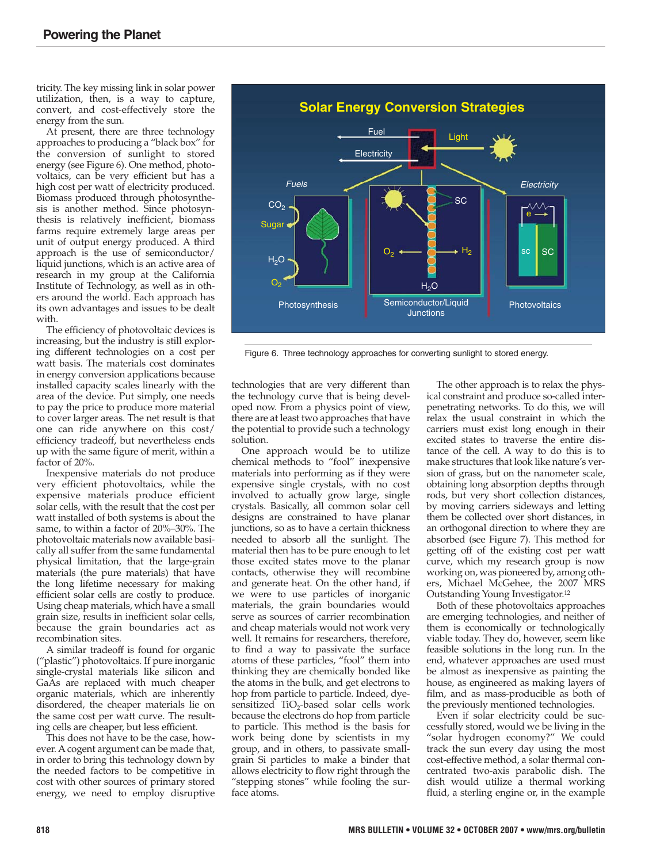tricity. The key missing link in solar power utilization, then, is a way to capture, convert, and cost-effectively store the energy from the sun.

At present, there are three technology approaches to producing a "black box" for the conversion of sunlight to stored energy (see Figure 6). One method, photovoltaics, can be very efficient but has a high cost per watt of electricity produced. Biomass produced through photosynthesis is another method. Since photosynthesis is relatively inefficient, biomass farms require extremely large areas per unit of output energy produced. A third approach is the use of semiconductor/ liquid junctions, which is an active area of research in my group at the California Institute of Technology, as well as in others around the world. Each approach has its own advantages and issues to be dealt with.

The efficiency of photovoltaic devices is increasing, but the industry is still exploring different technologies on a cost per watt basis. The materials cost dominates in energy conversion applications because installed capacity scales linearly with the area of the device. Put simply, one needs to pay the price to produce more material to cover larger areas. The net result is that one can ride anywhere on this cost/ efficiency tradeoff, but nevertheless ends up with the same figure of merit, within a factor of 20%.

Inexpensive materials do not produce very efficient photovoltaics, while the expensive materials produce efficient solar cells, with the result that the cost per watt installed of both systems is about the same, to within a factor of 20%–30%. The photovoltaic materials now available basically all suffer from the same fundamental physical limitation, that the large-grain materials (the pure materials) that have the long lifetime necessary for making efficient solar cells are costly to produce. Using cheap materials, which have a small grain size, results in inefficient solar cells, because the grain boundaries act as recombination sites.

A similar tradeoff is found for organic ("plastic") photovoltaics. If pure inorganic single-crystal materials like silicon and GaAs are replaced with much cheaper organic materials, which are inherently disordered, the cheaper materials lie on the same cost per watt curve. The resulting cells are cheaper, but less efficient.

This does not have to be the case, however. A cogent argument can be made that, in order to bring this technology down by the needed factors to be competitive in cost with other sources of primary stored energy, we need to employ disruptive



Figure 6. Three technology approaches for converting sunlight to stored energy.

technologies that are very different than the technology curve that is being developed now. From a physics point of view, there are at least two approaches that have the potential to provide such a technology solution.

One approach would be to utilize chemical methods to "fool" inexpensive materials into performing as if they were expensive single crystals, with no cost involved to actually grow large, single crystals. Basically, all common solar cell designs are constrained to have planar junctions, so as to have a certain thickness needed to absorb all the sunlight. The material then has to be pure enough to let those excited states move to the planar contacts, otherwise they will recombine and generate heat. On the other hand, if we were to use particles of inorganic materials, the grain boundaries would serve as sources of carrier recombination and cheap materials would not work very well. It remains for researchers, therefore, to find a way to passivate the surface atoms of these particles, "fool" them into thinking they are chemically bonded like the atoms in the bulk, and get electrons to hop from particle to particle. Indeed, dyesensitized TiO<sub>2</sub>-based solar cells work because the electrons do hop from particle to particle. This method is the basis for work being done by scientists in my group, and in others, to passivate smallgrain Si particles to make a binder that allows electricity to flow right through the "stepping stones" while fooling the surface atoms.

The other approach is to relax the physical constraint and produce so-called interpenetrating networks. To do this, we will relax the usual constraint in which the carriers must exist long enough in their excited states to traverse the entire distance of the cell. A way to do this is to make structures that look like nature's version of grass, but on the nanometer scale, obtaining long absorption depths through rods, but very short collection distances, by moving carriers sideways and letting them be collected over short distances, in an orthogonal direction to where they are absorbed (see Figure 7). This method for getting off of the existing cost per watt curve, which my research group is now working on, was pioneered by, among others, Michael McGehee, the 2007 MRS Outstanding Young Investigator.12

Both of these photovoltaics approaches are emerging technologies, and neither of them is economically or technologically viable today. They do, however, seem like feasible solutions in the long run. In the end, whatever approaches are used must be almost as inexpensive as painting the house, as engineered as making layers of film, and as mass-producible as both of the previously mentioned technologies.

Even if solar electricity could be successfully stored, would we be living in the "solar hydrogen economy?" We could track the sun every day using the most cost-effective method, a solar thermal concentrated two-axis parabolic dish. The dish would utilize a thermal working fluid, a sterling engine or, in the example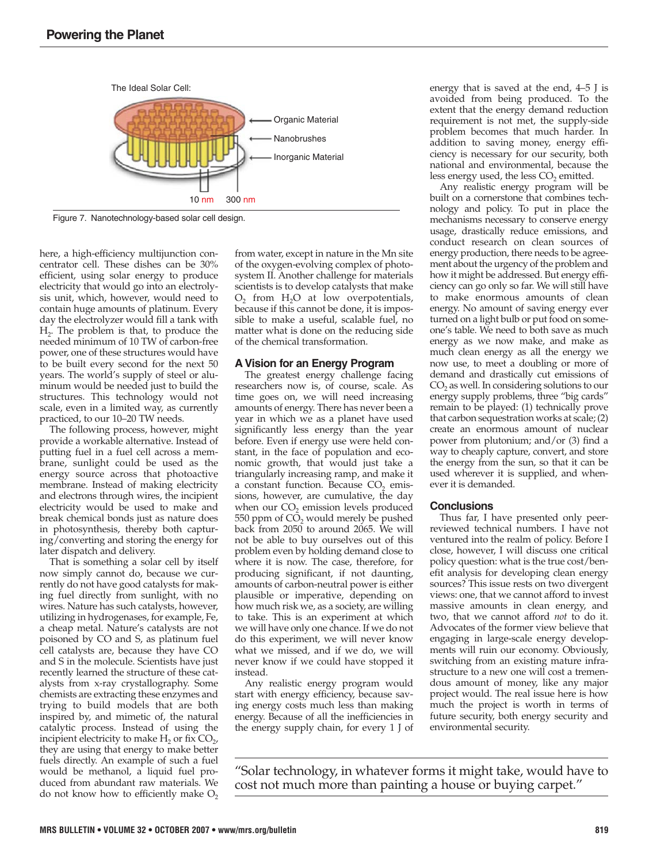

Figure 7. Nanotechnology-based solar cell design.

here, a high-efficiency multijunction concentrator cell. These dishes can be 30% efficient, using solar energy to produce electricity that would go into an electrolysis unit, which, however, would need to contain huge amounts of platinum. Every day the electrolyzer would fill a tank with H2. The problem is that, to produce the needed minimum of 10 TW of carbon-free power, one of these structures would have to be built every second for the next 50 years. The world's supply of steel or aluminum would be needed just to build the structures. This technology would not scale, even in a limited way, as currently practiced, to our 10–20 TW needs.

The following process, however, might provide a workable alternative. Instead of putting fuel in a fuel cell across a membrane, sunlight could be used as the energy source across that photoactive membrane. Instead of making electricity and electrons through wires, the incipient electricity would be used to make and break chemical bonds just as nature does in photosynthesis, thereby both capturing/converting and storing the energy for later dispatch and delivery.

That is something a solar cell by itself now simply cannot do, because we currently do not have good catalysts for making fuel directly from sunlight, with no wires. Nature has such catalysts, however, utilizing in hydrogenases, for example, Fe, a cheap metal. Nature's catalysts are not poisoned by CO and S, as platinum fuel cell catalysts are, because they have CO and S in the molecule. Scientists have just recently learned the structure of these catalysts from x-ray crystallography. Some chemists are extracting these enzymes and trying to build models that are both inspired by, and mimetic of, the natural catalytic process. Instead of using the incipient electricity to make  $H_2$  or fix  $CO<sub>2</sub>$ , they are using that energy to make better fuels directly. An example of such a fuel would be methanol, a liquid fuel produced from abundant raw materials. We do not know how to efficiently make  $O<sub>2</sub>$ 

from water, except in nature in the Mn site of the oxygen-evolving complex of photosystem II. Another challenge for materials scientists is to develop catalysts that make  $O_2$  from  $H_2O$  at low overpotentials, because if this cannot be done, it is impossible to make a useful, scalable fuel, no matter what is done on the reducing side of the chemical transformation.

# **A Vision for an Energy Program**

The greatest energy challenge facing researchers now is, of course, scale. As time goes on, we will need increasing amounts of energy. There has never been a year in which we as a planet have used significantly less energy than the year before. Even if energy use were held constant, in the face of population and economic growth, that would just take a triangularly increasing ramp, and make it a constant function. Because  $CO<sub>2</sub>$  emissions, however, are cumulative, the day when our  $CO<sub>2</sub>$  emission levels produced 550 ppm of  $CO<sub>2</sub>$  would merely be pushed back from 2050 to around 2065. We will not be able to buy ourselves out of this problem even by holding demand close to where it is now. The case, therefore, for producing significant, if not daunting, amounts of carbon-neutral power is either plausible or imperative, depending on how much risk we, as a society, are willing to take. This is an experiment at which we will have only one chance. If we do not do this experiment, we will never know what we missed, and if we do, we will never know if we could have stopped it instead.

Any realistic energy program would start with energy efficiency, because saving energy costs much less than making energy. Because of all the inefficiencies in the energy supply chain, for every 1 J of energy that is saved at the end, 4–5 J is avoided from being produced. To the extent that the energy demand reduction requirement is not met, the supply-side problem becomes that much harder. In addition to saving money, energy efficiency is necessary for our security, both national and environmental, because the less energy used, the less CO<sub>2</sub> emitted.

Any realistic energy program will be built on a cornerstone that combines technology and policy. To put in place the mechanisms necessary to conserve energy usage, drastically reduce emissions, and conduct research on clean sources of energy production, there needs to be agreement about the urgency of the problem and how it might be addressed. But energy efficiency can go only so far. We will still have to make enormous amounts of clean energy. No amount of saving energy ever turned on a light bulb or put food on someone's table. We need to both save as much energy as we now make, and make as much clean energy as all the energy we now use, to meet a doubling or more of demand and drastically cut emissions of CO<sub>2</sub> as well. In considering solutions to our energy supply problems, three "big cards" remain to be played: (1) technically prove that carbon sequestration works at scale; (2) create an enormous amount of nuclear power from plutonium; and/or (3) find a way to cheaply capture, convert, and store the energy from the sun, so that it can be used wherever it is supplied, and whenever it is demanded.

#### **Conclusions**

Thus far, I have presented only peerreviewed technical numbers. I have not ventured into the realm of policy. Before I close, however, I will discuss one critical policy question: what is the true cost/benefit analysis for developing clean energy sources? This issue rests on two divergent views: one, that we cannot afford to invest massive amounts in clean energy, and two, that we cannot afford *not* to do it. Advocates of the former view believe that engaging in large-scale energy developments will ruin our economy. Obviously, switching from an existing mature infrastructure to a new one will cost a tremendous amount of money, like any major project would. The real issue here is how much the project is worth in terms of future security, both energy security and environmental security.

"Solar technology, in whatever forms it might take, would have to cost not much more than painting a house or buying carpet."